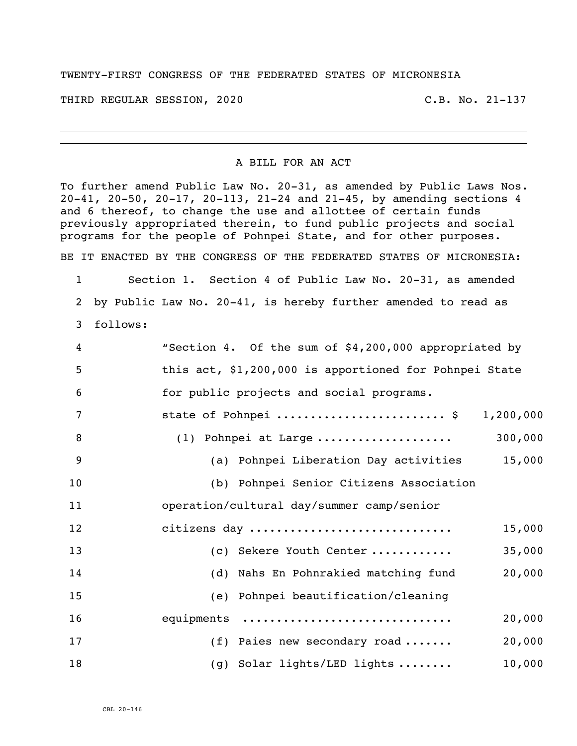## TWENTY-FIRST CONGRESS OF THE FEDERATED STATES OF MICRONESIA

THIRD REGULAR SESSION, 2020 C.B. No. 21-137

## A BILL FOR AN ACT

To further amend Public Law No. 20-31, as amended by Public Laws Nos. 20-41, 20-50, 20-17, 20-113, 21-24 and 21-45, by amending sections 4 and 6 thereof, to change the use and allottee of certain funds previously appropriated therein, to fund public projects and social programs for the people of Pohnpei State, and for other purposes.

BE IT ENACTED BY THE CONGRESS OF THE FEDERATED STATES OF MICRONESIA:

 Section 1. Section 4 of Public Law No. 20-31, as amended by Public Law No. 20-41, is hereby further amended to read as follows:

| 4              | "Section 4. Of the sum of \$4,200,000 appropriated by  |
|----------------|--------------------------------------------------------|
| 5              | this act, \$1,200,000 is apportioned for Pohnpei State |
| 6              | for public projects and social programs.               |
| $\overline{7}$ | state of Pohnpei  \$ 1,200,000                         |
| 8              | 300,000<br>$(1)$ Pohnpei at Large                      |
| 9              | 15,000<br>(a) Pohnpei Liberation Day activities        |
| 10             | (b) Pohnpei Senior Citizens Association                |
| 11             | operation/cultural day/summer camp/senior              |
| 12             | citizens day<br>15,000                                 |
| 13             | 35,000<br>(c) Sekere Youth Center                      |
| 14             | 20,000<br>(d) Nahs En Pohnrakied matching fund         |
| 15             | (e) Pohnpei beautification/cleaning                    |
| 16             | equipments<br>20,000                                   |
| 17             | $(f)$ Paies new secondary road<br>20,000               |
| 18             | (g) Solar lights/LED lights<br>10,000                  |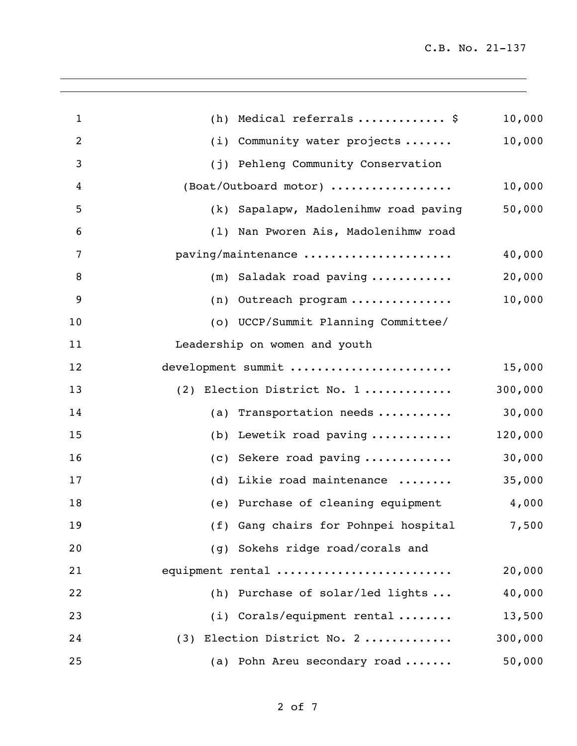| $\mathbf{1}$   | Medical referrals  \$<br>(h)                    | 10,000  |
|----------------|-------------------------------------------------|---------|
| $\overline{2}$ | Community water projects<br>(i)                 | 10,000  |
| 3              | (j) Pehleng Community Conservation              |         |
| 4              | $(Boat/Outboard motor)$                         | 10,000  |
| 5              | (k) Sapalapw, Madolenihmw road paving           | 50,000  |
| 6              | (1) Nan Pworen Ais, Madolenihmw road            |         |
| 7              | paving/maintenance                              | 40,000  |
| 8              | Saladak road paving<br>(m)                      | 20,000  |
| 9              | Outreach program<br>(n)                         | 10,000  |
| 10             | (o) UCCP/Summit Planning Committee/             |         |
| 11             | Leadership on women and youth                   |         |
| 12             | development summit                              | 15,000  |
| 13             | (2) Election District No. 1                     | 300,000 |
| 14             | (a) Transportation needs $\ldots \ldots \ldots$ | 30,000  |
| 15             | Lewetik road paving<br>(b)                      | 120,000 |
| 16             | Sekere road paving<br>(C)                       | 30,000  |
| 17             | Likie road maintenance<br>(d)                   | 35,000  |
| 18             | (e) Purchase of cleaning equipment              | 4,000   |
| 19             | (f) Gang chairs for Pohnpei hospital            | 7,500   |
| 20             | (g) Sokehs ridge road/corals and                |         |
| 21             | equipment rental                                | 20,000  |
| 22             | (h) Purchase of solar/led lights                | 40,000  |
| 23             | $(i)$ Corals/equipment rental                   | 13,500  |
| 24             | (3) Election District No. 2                     | 300,000 |
| 25             | (a) Pohn Areu secondary road                    | 50,000  |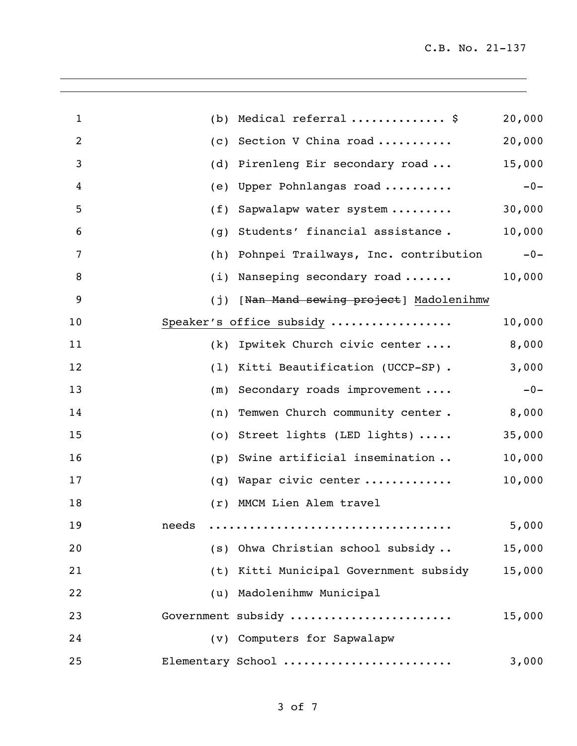| $\mathbf{1}$ | (b)   | Medical referral  \$                               | 20,000 |
|--------------|-------|----------------------------------------------------|--------|
| 2            | (c)   | Section V China road                               | 20,000 |
| 3            | (d)   | Pirenleng Eir secondary road                       | 15,000 |
| 4            | (e)   | Upper Pohnlangas road                              | $-0-$  |
| 5            | (f)   | Sapwalapw water system                             | 30,000 |
| 6            | (g)   | Students' financial assistance.                    | 10,000 |
| 7            | (h)   | Pohnpei Trailways, Inc. contribution               | $-0-$  |
| 8            | (i)   | Nanseping secondary road                           | 10,000 |
| 9            | (j)   | [ <del>Nan Mand sewing project</del> ] Madolenihmw |        |
| 10           |       | Speaker's office subsidy                           | 10,000 |
| 11           | (k)   | Ipwitek Church civic center                        | 8,000  |
| 12           | (1)   | Kitti Beautification (UCCP-SP).                    | 3,000  |
| 13           | (m)   | Secondary roads improvement                        | $-0-$  |
| 14           | (n)   | Temwen Church community center.                    | 8,000  |
| 15           | (0)   | Street lights (LED lights)                         | 35,000 |
| 16           | (p)   | Swine artificial insemination                      | 10,000 |
| 17           | (q)   | Wapar civic center                                 | 10,000 |
| 18           | (r)   | MMCM Lien Alem travel                              |        |
| 19           | needs |                                                    | 5,000  |
| 20           |       | (s) Ohwa Christian school subsidy                  | 15,000 |
| 21           |       | (t) Kitti Municipal Government subsidy             | 15,000 |
| 22           |       | (u) Madolenihmw Municipal                          |        |
| 23           |       | Government subsidy                                 | 15,000 |
| 24           |       | (v) Computers for Sapwalapw                        |        |
| 25           |       | Elementary School                                  | 3,000  |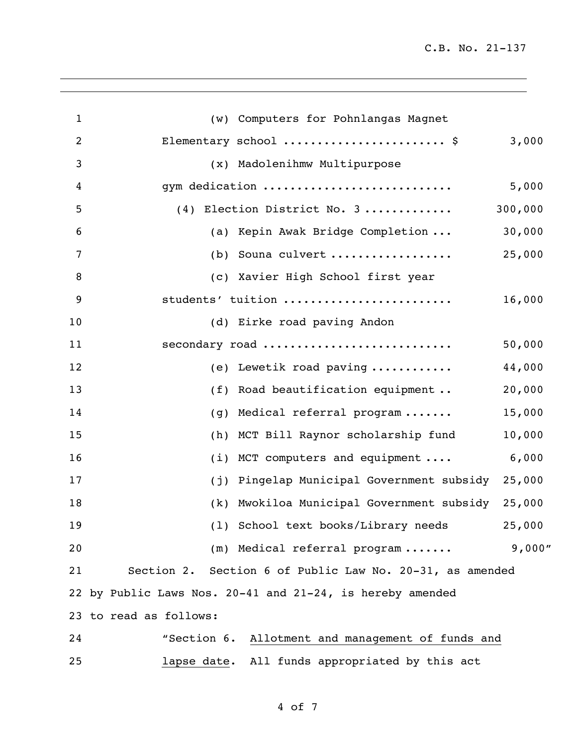C.B. No. 21-137

| $\mathbf{1}$ | (w) Computers for Pohnlangas Magnet                       |         |
|--------------|-----------------------------------------------------------|---------|
| 2            | Elementary school  \$                                     | 3,000   |
| 3            | (x) Madolenihmw Multipurpose                              |         |
| 4            | gym dedication                                            | 5,000   |
| 5            | (4) Election District No. 3                               | 300,000 |
| 6            | (a) Kepin Awak Bridge Completion                          | 30,000  |
| 7            | (b) Souna culvert                                         | 25,000  |
| 8            | (c) Xavier High School first year                         |         |
| 9            | students' tuition                                         | 16,000  |
| 10           | (d) Eirke road paving Andon                               |         |
| 11           | secondary road                                            | 50,000  |
| 12           | (e) Lewetik road paving                                   | 44,000  |
| 13           | (f) Road beautification equipment                         | 20,000  |
| 14           | Medical referral program<br>(g)                           | 15,000  |
| 15           | (h) MCT Bill Raynor scholarship fund                      | 10,000  |
| 16           | (i) MCT computers and equipment                           | 6,000   |
| 17           | Pingelap Municipal Government subsidy<br>(j)              | 25,000  |
| 18           | Mwokiloa Municipal Government subsidy<br>(k)              | 25,000  |
| 19           | (1) School text books/Library needs                       | 25,000  |
| 20           | (m) Medical referral program                              | 9,000"  |
| 21           | Section 2. Section 6 of Public Law No. 20-31, as amended  |         |
|              | 22 by Public Laws Nos. 20-41 and 21-24, is hereby amended |         |
|              | 23 to read as follows:                                    |         |
| 24           | "Section 6. Allotment and management of funds and         |         |
| 25           | lapse date. All funds appropriated by this act            |         |

of 7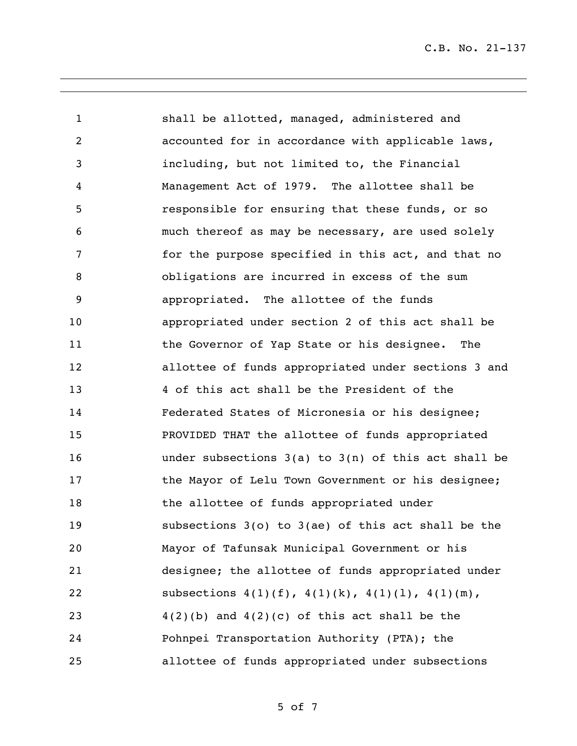C.B. No. 21-137

 shall be allotted, managed, administered and accounted for in accordance with applicable laws, including, but not limited to, the Financial Management Act of 1979. The allottee shall be responsible for ensuring that these funds, or so much thereof as may be necessary, are used solely for the purpose specified in this act, and that no obligations are incurred in excess of the sum appropriated. The allottee of the funds appropriated under section 2 of this act shall be the Governor of Yap State or his designee. The allottee of funds appropriated under sections 3 and 4 of this act shall be the President of the Federated States of Micronesia or his designee; PROVIDED THAT the allottee of funds appropriated under subsections 3(a) to 3(n) of this act shall be **the Mayor of Lelu Town Government or his designee;** 18 the allottee of funds appropriated under subsections 3(o) to 3(ae) of this act shall be the Mayor of Tafunsak Municipal Government or his designee; the allottee of funds appropriated under 22 subsections  $4(1)(f)$ ,  $4(1)(k)$ ,  $4(1)(1)$ ,  $4(1)(m)$ ,  $4(2)(b)$  and  $4(2)(c)$  of this act shall be the Pohnpei Transportation Authority (PTA); the allottee of funds appropriated under subsections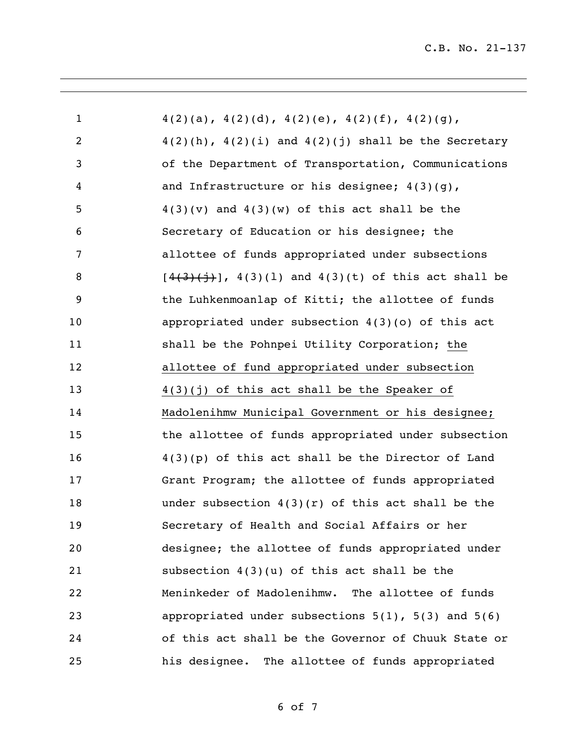| $\mathbf{1}$   | $4(2)(a)$ , $4(2)(d)$ , $4(2)(e)$ , $4(2)(f)$ , $4(2)(g)$ ,     |
|----------------|-----------------------------------------------------------------|
| $\overline{2}$ | $4(2)(h)$ , $4(2)(i)$ and $4(2)(j)$ shall be the Secretary      |
| 3              | of the Department of Transportation, Communications             |
| 4              | and Infrastructure or his designee; $4(3)(q)$ ,                 |
| 5              | $4(3)(v)$ and $4(3)(w)$ of this act shall be the                |
| 6              | Secretary of Education or his designee; the                     |
| 7              | allottee of funds appropriated under subsections                |
| 8              | $[4(3)(\frac{1}{2})$ , 4(3)(1) and 4(3)(t) of this act shall be |
| 9              | the Luhkenmoanlap of Kitti; the allottee of funds               |
| 10             | appropriated under subsection $4(3)(0)$ of this act             |
| 11             | shall be the Pohnpei Utility Corporation; the                   |
| 12             | allottee of fund appropriated under subsection                  |
| 13             | $4(3)(j)$ of this act shall be the Speaker of                   |
| 14             | Madolenihmw Municipal Government or his designee;               |
| 15             | the allottee of funds appropriated under subsection             |
| 16             | $4(3)(p)$ of this act shall be the Director of Land             |
| 17             | Grant Program; the allottee of funds appropriated               |
| 18             | under subsection $4(3)(r)$ of this act shall be the             |
| 19             | Secretary of Health and Social Affairs or her                   |
| 20             | designee; the allottee of funds appropriated under              |
| 21             | subsection $4(3)(u)$ of this act shall be the                   |
| 22             | Meninkeder of Madolenihmw. The allottee of funds                |
| 23             | appropriated under subsections $5(1)$ , $5(3)$ and $5(6)$       |
| 24             | of this act shall be the Governor of Chuuk State or             |
| 25             | his designee. The allottee of funds appropriated                |